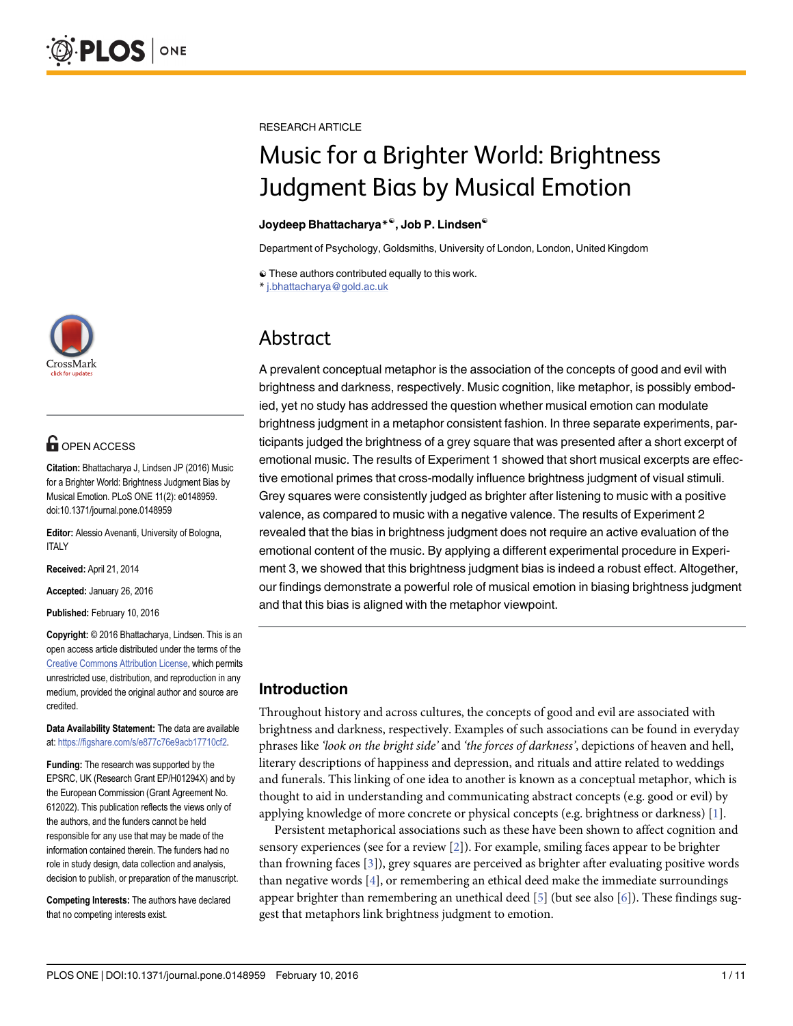

# **OPEN ACCESS**

Citation: Bhattacharya J, Lindsen JP (2016) Music for a Brighter World: Brightness Judgment Bias by Musical Emotion. PLoS ONE 11(2): e0148959. doi:10.1371/journal.pone.0148959

Editor: Alessio Avenanti, University of Bologna, ITALY

Received: April 21, 2014

Accepted: January 26, 2016

Published: February 10, 2016

Copyright: © 2016 Bhattacharya, Lindsen. This is an open access article distributed under the terms of the [Creative Commons Attribution License,](http://creativecommons.org/licenses/by/4.0/) which permits unrestricted use, distribution, and reproduction in any medium, provided the original author and source are credited.

Data Availability Statement: The data are available at: <https://figshare.com/s/e877c76e9acb17710cf2>.

Funding: The research was supported by the EPSRC, UK (Research Grant EP/H01294X) and by the European Commission (Grant Agreement No. 612022). This publication reflects the views only of the authors, and the funders cannot be held responsible for any use that may be made of the information contained therein. The funders had no role in study design, data collection and analysis, decision to publish, or preparation of the manuscript.

Competing Interests: The authors have declared that no competing interests exist.

<span id="page-0-0"></span>RESEARCH ARTICLE

# Music for a Brighter World: Brightness Judgment Bias by Musical Emotion

#### Joydeep Bhattacharya<sup>\*®</sup>, Job P. Lindsen<sup>®</sup>

Department of Psychology, Goldsmiths, University of London, London, United Kingdom

 $\odot$  These authors contributed equally to this work.

\* j.bhattacharya@gold.ac.uk

# Abstract

A prevalent conceptual metaphor is the association of the concepts of good and evil with brightness and darkness, respectively. Music cognition, like metaphor, is possibly embodied, yet no study has addressed the question whether musical emotion can modulate brightness judgment in a metaphor consistent fashion. In three separate experiments, participants judged the brightness of a grey square that was presented after a short excerpt of emotional music. The results of Experiment 1 showed that short musical excerpts are effective emotional primes that cross-modally influence brightness judgment of visual stimuli. Grey squares were consistently judged as brighter after listening to music with a positive valence, as compared to music with a negative valence. The results of Experiment 2 revealed that the bias in brightness judgment does not require an active evaluation of the emotional content of the music. By applying a different experimental procedure in Experiment 3, we showed that this brightness judgment bias is indeed a robust effect. Altogether, our findings demonstrate a powerful role of musical emotion in biasing brightness judgment and that this bias is aligned with the metaphor viewpoint.

# Introduction

Throughout history and across cultures, the concepts of good and evil are associated with brightness and darkness, respectively. Examples of such associations can be found in everyday phrases like 'look on the bright side' and 'the forces of darkness', depictions of heaven and hell, literary descriptions of happiness and depression, and rituals and attire related to weddings and funerals. This linking of one idea to another is known as a conceptual metaphor, which is thought to aid in understanding and communicating abstract concepts (e.g. good or evil) by applying knowledge of more concrete or physical concepts (e.g. brightness or darkness) [\[1](#page-8-0)].

Persistent metaphorical associations such as these have been shown to affect cognition and sensory experiences (see for a review  $[2]$  $[2]$ ). For example, smiling faces appear to be brighter than frowning faces  $[3]$  $[3]$ , grey squares are perceived as brighter after evaluating positive words than negative words  $[4]$  $[4]$ , or remembering an ethical deed make the immediate surroundings appear brighter than remembering an unethical deed  $[5]$  (but see also  $[6]$  $[6]$ ). These findings suggest that metaphors link brightness judgment to emotion.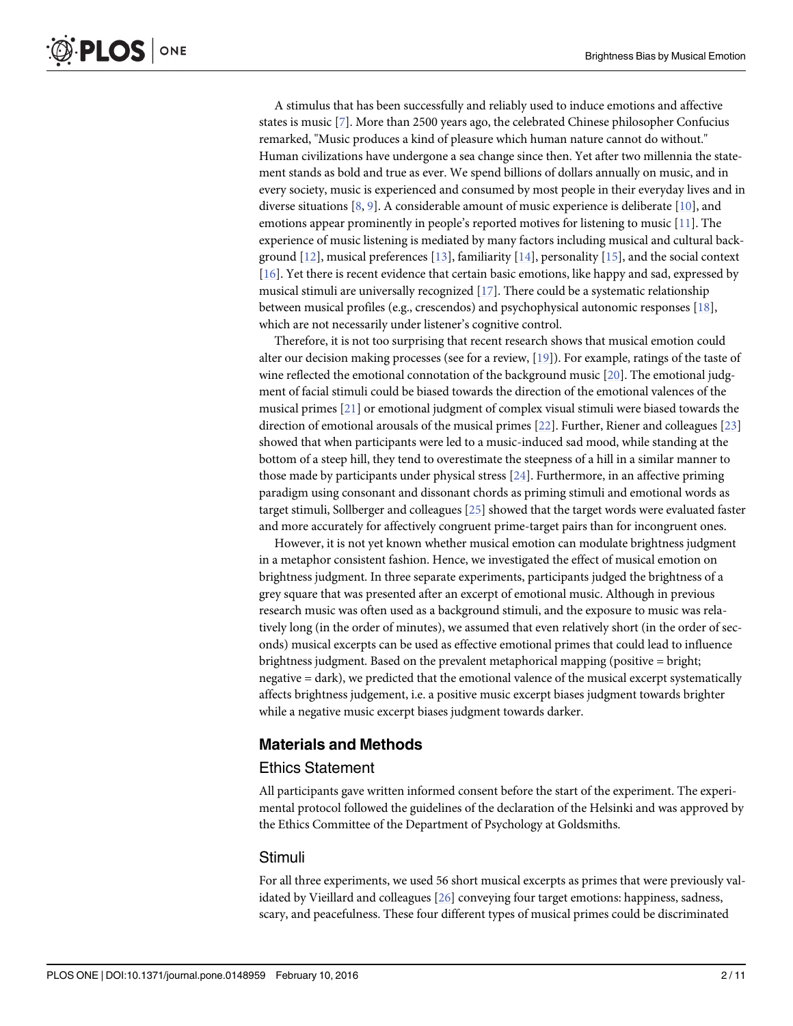<span id="page-1-0"></span>**PLOS** I ONE

> A stimulus that has been successfully and reliably used to induce emotions and affective states is music [[7\]](#page-9-0). More than 2500 years ago, the celebrated Chinese philosopher Confucius remarked, "Music produces a kind of pleasure which human nature cannot do without." Human civilizations have undergone a sea change since then. Yet after two millennia the statement stands as bold and true as ever. We spend billions of dollars annually on music, and in every society, music is experienced and consumed by most people in their everyday lives and in diverse situations [\[8](#page-9-0), [9](#page-9-0)]. A considerable amount of music experience is deliberate [[10](#page-9-0)], and emotions appear prominently in people's reported motives for listening to music [\[11\]](#page-9-0). The experience of music listening is mediated by many factors including musical and cultural background  $[12]$  $[12]$  $[12]$ , musical preferences  $[13]$  $[13]$ , familiarity  $[14]$  $[14]$ , personality  $[15]$  $[15]$  $[15]$ , and the social context [\[16](#page-9-0)]. Yet there is recent evidence that certain basic emotions, like happy and sad, expressed by musical stimuli are universally recognized  $[17]$  $[17]$ . There could be a systematic relationship between musical profiles (e.g., crescendos) and psychophysical autonomic responses [[18](#page-9-0)], which are not necessarily under listener's cognitive control.

> Therefore, it is not too surprising that recent research shows that musical emotion could alter our decision making processes (see for a review, [[19](#page-9-0)]). For example, ratings of the taste of wine reflected the emotional connotation of the background music [\[20\]](#page-9-0). The emotional judgment of facial stimuli could be biased towards the direction of the emotional valences of the musical primes [[21\]](#page-9-0) or emotional judgment of complex visual stimuli were biased towards the direction of emotional arousals of the musical primes [[22\]](#page-9-0). Further, Riener and colleagues [[23](#page-9-0)] showed that when participants were led to a music-induced sad mood, while standing at the bottom of a steep hill, they tend to overestimate the steepness of a hill in a similar manner to those made by participants under physical stress  $[24]$  $[24]$  $[24]$ . Furthermore, in an affective priming paradigm using consonant and dissonant chords as priming stimuli and emotional words as target stimuli, Sollberger and colleagues [\[25\]](#page-9-0) showed that the target words were evaluated faster and more accurately for affectively congruent prime-target pairs than for incongruent ones.

> However, it is not yet known whether musical emotion can modulate brightness judgment in a metaphor consistent fashion. Hence, we investigated the effect of musical emotion on brightness judgment. In three separate experiments, participants judged the brightness of a grey square that was presented after an excerpt of emotional music. Although in previous research music was often used as a background stimuli, and the exposure to music was relatively long (in the order of minutes), we assumed that even relatively short (in the order of seconds) musical excerpts can be used as effective emotional primes that could lead to influence brightness judgment. Based on the prevalent metaphorical mapping (positive = bright; negative = dark), we predicted that the emotional valence of the musical excerpt systematically affects brightness judgement, i.e. a positive music excerpt biases judgment towards brighter while a negative music excerpt biases judgment towards darker.

## Materials and Methods

#### Ethics Statement

All participants gave written informed consent before the start of the experiment. The experimental protocol followed the guidelines of the declaration of the Helsinki and was approved by the Ethics Committee of the Department of Psychology at Goldsmiths.

#### Stimuli

For all three experiments, we used 56 short musical excerpts as primes that were previously validated by Vieillard and colleagues [[26](#page-10-0)] conveying four target emotions: happiness, sadness, scary, and peacefulness. These four different types of musical primes could be discriminated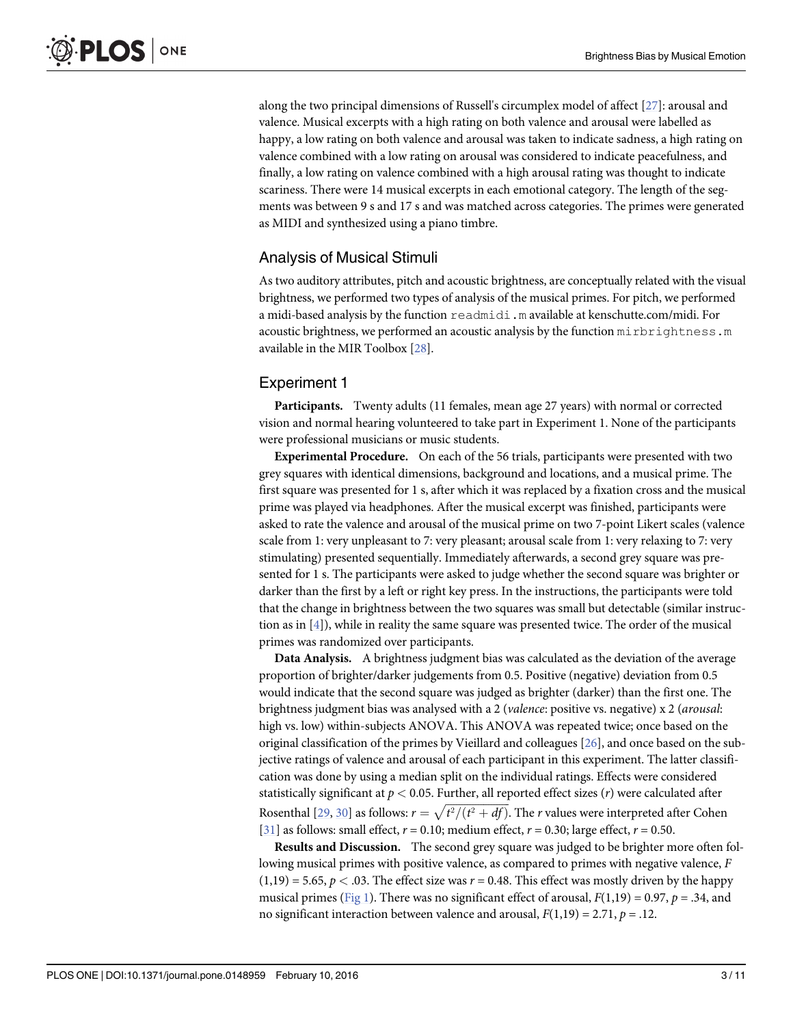<span id="page-2-0"></span>along the two principal dimensions of Russell's circumplex model of affect [[27](#page-10-0)]: arousal and valence. Musical excerpts with a high rating on both valence and arousal were labelled as happy, a low rating on both valence and arousal was taken to indicate sadness, a high rating on valence combined with a low rating on arousal was considered to indicate peacefulness, and finally, a low rating on valence combined with a high arousal rating was thought to indicate scariness. There were 14 musical excerpts in each emotional category. The length of the segments was between 9 s and 17 s and was matched across categories. The primes were generated as MIDI and synthesized using a piano timbre.

# Analysis of Musical Stimuli

As two auditory attributes, pitch and acoustic brightness, are conceptually related with the visual brightness, we performed two types of analysis of the musical primes. For pitch, we performed a midi-based analysis by the function readmidi.m available at kenschutte.com/midi. For acoustic brightness, we performed an acoustic analysis by the function mirbrightness.m available in the MIR Toolbox [\[28](#page-10-0)].

# Experiment 1

Participants. Twenty adults (11 females, mean age 27 years) with normal or corrected vision and normal hearing volunteered to take part in Experiment 1. None of the participants were professional musicians or music students.

Experimental Procedure. On each of the 56 trials, participants were presented with two grey squares with identical dimensions, background and locations, and a musical prime. The first square was presented for 1 s, after which it was replaced by a fixation cross and the musical prime was played via headphones. After the musical excerpt was finished, participants were asked to rate the valence and arousal of the musical prime on two 7-point Likert scales (valence scale from 1: very unpleasant to 7: very pleasant; arousal scale from 1: very relaxing to 7: very stimulating) presented sequentially. Immediately afterwards, a second grey square was presented for 1 s. The participants were asked to judge whether the second square was brighter or darker than the first by a left or right key press. In the instructions, the participants were told that the change in brightness between the two squares was small but detectable (similar instruction as in  $[4]$ ), while in reality the same square was presented twice. The order of the musical primes was randomized over participants.

Data Analysis. A brightness judgment bias was calculated as the deviation of the average proportion of brighter/darker judgements from 0.5. Positive (negative) deviation from 0.5 would indicate that the second square was judged as brighter (darker) than the first one. The brightness judgment bias was analysed with a 2 (valence: positive vs. negative) x 2 (arousal: high vs. low) within-subjects ANOVA. This ANOVA was repeated twice; once based on the original classification of the primes by Vieillard and colleagues [[26](#page-10-0)], and once based on the subjective ratings of valence and arousal of each participant in this experiment. The latter classification was done by using a median split on the individual ratings. Effects were considered statistically significant at  $p < 0.05$ . Further, all reported effect sizes  $(r)$  were calculated after Rosenthal [\[29,](#page-10-0) [30\]](#page-10-0) as follows:  $r = \sqrt{t^2/(t^2 + df)}$ . The *r* values were interpreted after Cohen [\[31](#page-10-0)] as follows: small effect,  $r = 0.10$ ; medium effect,  $r = 0.30$ ; large effect,  $r = 0.50$ .

Results and Discussion. The second grey square was judged to be brighter more often following musical primes with positive valence, as compared to primes with negative valence, F  $(1,19) = 5.65$ ,  $p < .03$ . The effect size was  $r = 0.48$ . This effect was mostly driven by the happy musical primes ( $Fig 1$ ). There was no significant effect of arousal,  $F(1,19) = 0.97$ ,  $p = .34$ , and no significant interaction between valence and arousal,  $F(1,19) = 2.71$ ,  $p = .12$ .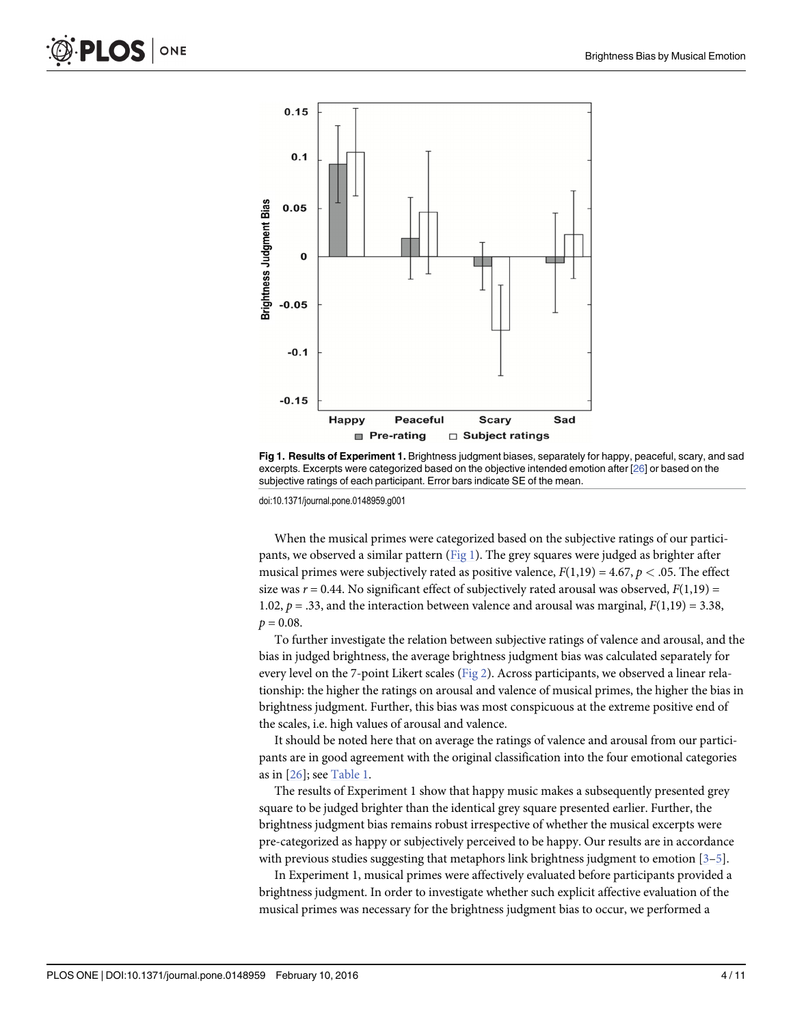<span id="page-3-0"></span>

[Fig 1. R](#page-2-0)esults of Experiment 1. Brightness judgment biases, separately for happy, peaceful, scary, and sad excerpts. Excerpts were categorized based on the objective intended emotion after [\[26\]](#page-10-0) or based on the subjective ratings of each participant. Error bars indicate SE of the mean.

doi:10.1371/journal.pone.0148959.g001

When the musical primes were categorized based on the subjective ratings of our participants, we observed a similar pattern  $(Fig_1)$ . The grey squares were judged as brighter after musical primes were subjectively rated as positive valence,  $F(1,19) = 4.67$ ,  $p < .05$ . The effect size was  $r = 0.44$ . No significant effect of subjectively rated arousal was observed,  $F(1,19) =$ 1.02,  $p = .33$ , and the interaction between valence and arousal was marginal,  $F(1,19) = 3.38$ ,  $p = 0.08$ .

To further investigate the relation between subjective ratings of valence and arousal, and the bias in judged brightness, the average brightness judgment bias was calculated separately for every level on the 7-point Likert scales ([Fig 2](#page-4-0)). Across participants, we observed a linear relationship: the higher the ratings on arousal and valence of musical primes, the higher the bias in brightness judgment. Further, this bias was most conspicuous at the extreme positive end of the scales, i.e. high values of arousal and valence.

It should be noted here that on average the ratings of valence and arousal from our participants are in good agreement with the original classification into the four emotional categories as in  $[26]$  $[26]$ ; see [Table 1.](#page-4-0)

The results of Experiment 1 show that happy music makes a subsequently presented grey square to be judged brighter than the identical grey square presented earlier. Further, the brightness judgment bias remains robust irrespective of whether the musical excerpts were pre-categorized as happy or subjectively perceived to be happy. Our results are in accordance with previous studies suggesting that metaphors link brightness judgment to emotion [[3](#page-9-0)–[5\]](#page-9-0).

In Experiment 1, musical primes were affectively evaluated before participants provided a brightness judgment. In order to investigate whether such explicit affective evaluation of the musical primes was necessary for the brightness judgment bias to occur, we performed a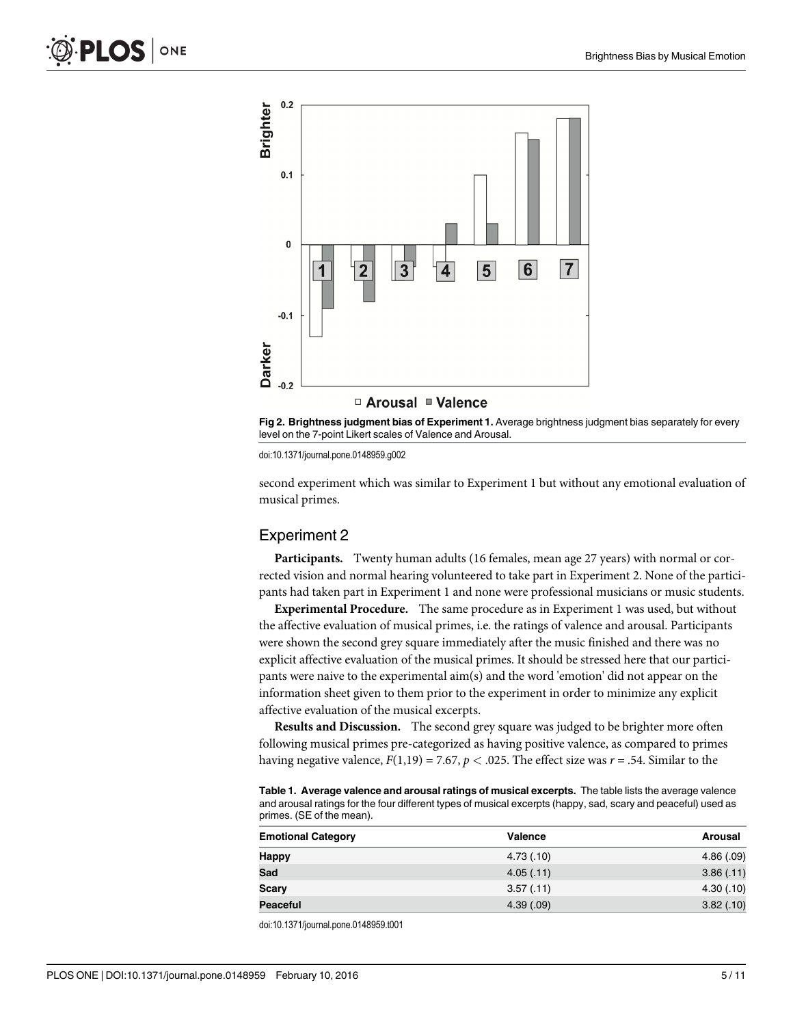<span id="page-4-0"></span>



doi:10.1371/journal.pone.0148959.g002

second experiment which was similar to Experiment 1 but without any emotional evaluation of musical primes.

#### Experiment 2

Participants. Twenty human adults (16 females, mean age 27 years) with normal or corrected vision and normal hearing volunteered to take part in Experiment 2. None of the participants had taken part in Experiment 1 and none were professional musicians or music students.

Experimental Procedure. The same procedure as in Experiment 1 was used, but without the affective evaluation of musical primes, i.e. the ratings of valence and arousal. Participants were shown the second grey square immediately after the music finished and there was no explicit affective evaluation of the musical primes. It should be stressed here that our participants were naive to the experimental aim(s) and the word 'emotion' did not appear on the information sheet given to them prior to the experiment in order to minimize any explicit affective evaluation of the musical excerpts.

Results and Discussion. The second grey square was judged to be brighter more often following musical primes pre-categorized as having positive valence, as compared to primes having negative valence,  $F(1,19) = 7.67$ ,  $p < .025$ . The effect size was  $r = .54$ . Similar to the

[Table 1.](#page-3-0) Average valence and arousal ratings of musical excerpts. The table lists the average valence and arousal ratings for the four different types of musical excerpts (happy, sad, scary and peaceful) used as primes. (SE of the mean).

| <b>Emotional Category</b> | Valence    | Arousal    |
|---------------------------|------------|------------|
| <b>Happy</b>              | 4.73(0.10) | 4.86(.09)  |
| Sad                       | 4.05(.11)  | 3.86(.11)  |
| <b>Scary</b>              | 3.57(0.11) | 4.30(0.10) |
| <b>Peaceful</b>           | 4.39(.09)  | 3.82(.10)  |

doi:10.1371/journal.pone.0148959.t001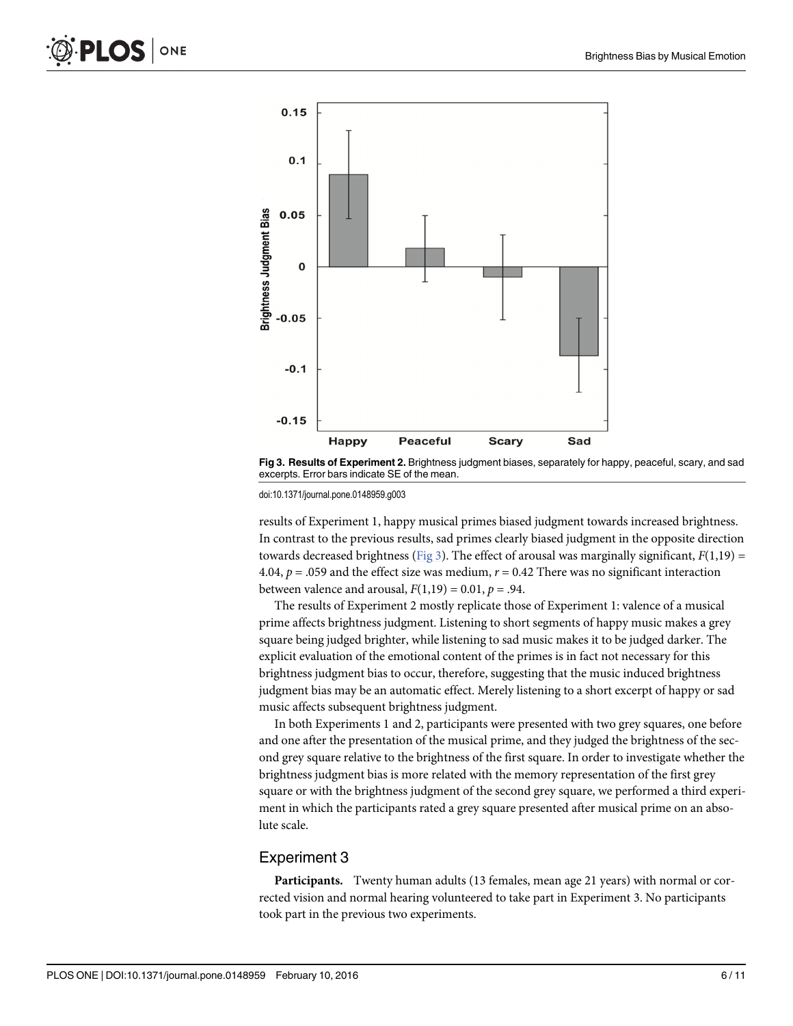



doi:10.1371/journal.pone.0148959.g003

results of Experiment 1, happy musical primes biased judgment towards increased brightness. In contrast to the previous results, sad primes clearly biased judgment in the opposite direction towards decreased brightness ( $Fig 3$ ). The effect of arousal was marginally significant,  $F(1,19)$  = 4.04,  $p = .059$  and the effect size was medium,  $r = 0.42$  There was no significant interaction between valence and arousal,  $F(1,19) = 0.01$ ,  $p = .94$ .

The results of Experiment 2 mostly replicate those of Experiment 1: valence of a musical prime affects brightness judgment. Listening to short segments of happy music makes a grey square being judged brighter, while listening to sad music makes it to be judged darker. The explicit evaluation of the emotional content of the primes is in fact not necessary for this brightness judgment bias to occur, therefore, suggesting that the music induced brightness judgment bias may be an automatic effect. Merely listening to a short excerpt of happy or sad music affects subsequent brightness judgment.

In both Experiments 1 and 2, participants were presented with two grey squares, one before and one after the presentation of the musical prime, and they judged the brightness of the second grey square relative to the brightness of the first square. In order to investigate whether the brightness judgment bias is more related with the memory representation of the first grey square or with the brightness judgment of the second grey square, we performed a third experiment in which the participants rated a grey square presented after musical prime on an absolute scale.

## Experiment 3

Participants. Twenty human adults (13 females, mean age 21 years) with normal or corrected vision and normal hearing volunteered to take part in Experiment 3. No participants took part in the previous two experiments.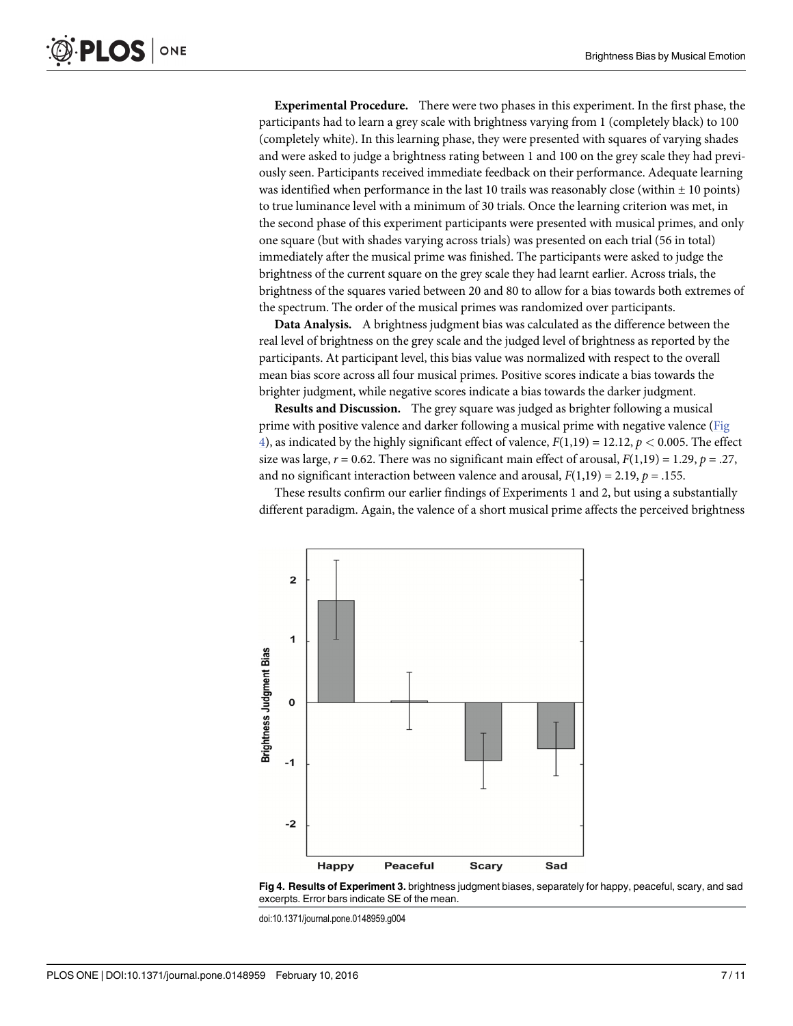Experimental Procedure. There were two phases in this experiment. In the first phase, the participants had to learn a grey scale with brightness varying from 1 (completely black) to 100 (completely white). In this learning phase, they were presented with squares of varying shades and were asked to judge a brightness rating between 1 and 100 on the grey scale they had previously seen. Participants received immediate feedback on their performance. Adequate learning was identified when performance in the last 10 trails was reasonably close (within  $\pm$  10 points) to true luminance level with a minimum of 30 trials. Once the learning criterion was met, in the second phase of this experiment participants were presented with musical primes, and only one square (but with shades varying across trials) was presented on each trial (56 in total) immediately after the musical prime was finished. The participants were asked to judge the brightness of the current square on the grey scale they had learnt earlier. Across trials, the brightness of the squares varied between 20 and 80 to allow for a bias towards both extremes of the spectrum. The order of the musical primes was randomized over participants.

Data Analysis. A brightness judgment bias was calculated as the difference between the real level of brightness on the grey scale and the judged level of brightness as reported by the participants. At participant level, this bias value was normalized with respect to the overall mean bias score across all four musical primes. Positive scores indicate a bias towards the brighter judgment, while negative scores indicate a bias towards the darker judgment.

Results and Discussion. The grey square was judged as brighter following a musical prime with positive valence and darker following a musical prime with negative valence (Fig  $\leq$ ), as indicated by the highly significant effect of valence,  $F(1,19) = 12.12$ ,  $p < 0.005$ . The effect size was large,  $r = 0.62$ . There was no significant main effect of arousal,  $F(1,19) = 1.29$ ,  $p = .27$ , and no significant interaction between valence and arousal,  $F(1,19) = 2.19$ ,  $p = .155$ .

These results confirm our earlier findings of Experiments 1 and 2, but using a substantially different paradigm. Again, the valence of a short musical prime affects the perceived brightness





doi:10.1371/journal.pone.0148959.g004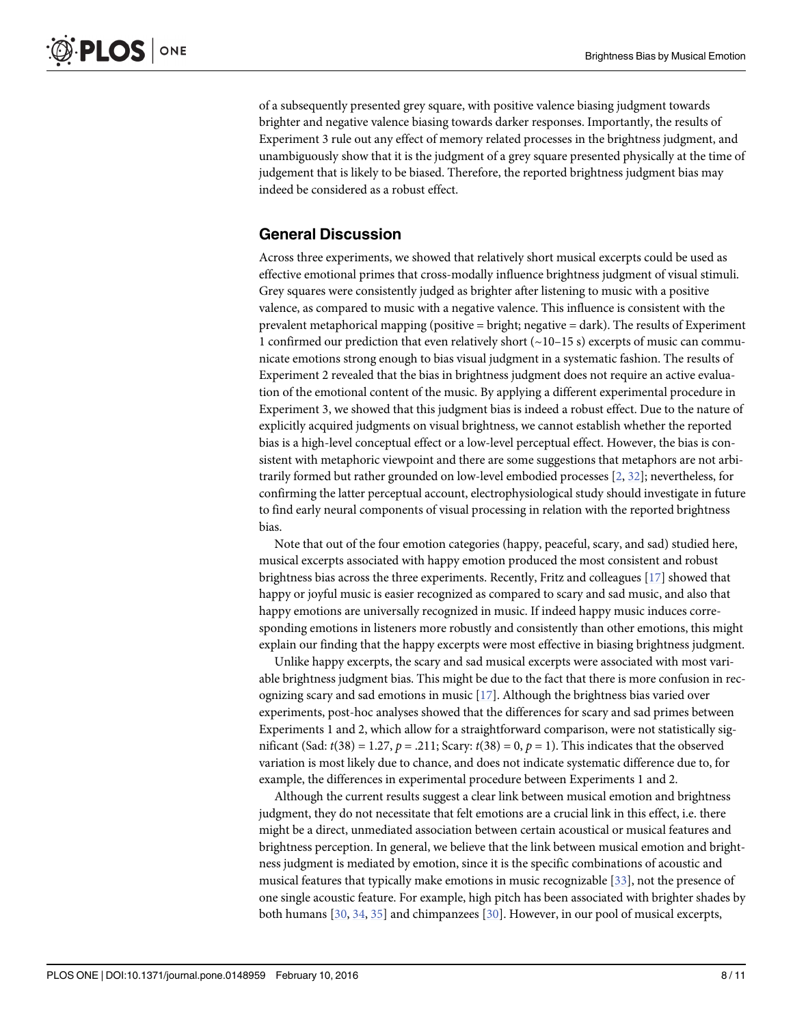<span id="page-7-0"></span>of a subsequently presented grey square, with positive valence biasing judgment towards brighter and negative valence biasing towards darker responses. Importantly, the results of Experiment 3 rule out any effect of memory related processes in the brightness judgment, and unambiguously show that it is the judgment of a grey square presented physically at the time of judgement that is likely to be biased. Therefore, the reported brightness judgment bias may indeed be considered as a robust effect.

# General Discussion

Across three experiments, we showed that relatively short musical excerpts could be used as effective emotional primes that cross-modally influence brightness judgment of visual stimuli. Grey squares were consistently judged as brighter after listening to music with a positive valence, as compared to music with a negative valence. This influence is consistent with the prevalent metaphorical mapping (positive = bright; negative = dark). The results of Experiment 1 confirmed our prediction that even relatively short  $\left(\sim 10-15 \text{ s}\right)$  excerpts of music can communicate emotions strong enough to bias visual judgment in a systematic fashion. The results of Experiment 2 revealed that the bias in brightness judgment does not require an active evaluation of the emotional content of the music. By applying a different experimental procedure in Experiment 3, we showed that this judgment bias is indeed a robust effect. Due to the nature of explicitly acquired judgments on visual brightness, we cannot establish whether the reported bias is a high-level conceptual effect or a low-level perceptual effect. However, the bias is consistent with metaphoric viewpoint and there are some suggestions that metaphors are not arbitrarily formed but rather grounded on low-level embodied processes [[2](#page-9-0), [32](#page-10-0)]; nevertheless, for confirming the latter perceptual account, electrophysiological study should investigate in future to find early neural components of visual processing in relation with the reported brightness bias.

Note that out of the four emotion categories (happy, peaceful, scary, and sad) studied here, musical excerpts associated with happy emotion produced the most consistent and robust brightness bias across the three experiments. Recently, Fritz and colleagues [\[17\]](#page-9-0) showed that happy or joyful music is easier recognized as compared to scary and sad music, and also that happy emotions are universally recognized in music. If indeed happy music induces corresponding emotions in listeners more robustly and consistently than other emotions, this might explain our finding that the happy excerpts were most effective in biasing brightness judgment.

Unlike happy excerpts, the scary and sad musical excerpts were associated with most variable brightness judgment bias. This might be due to the fact that there is more confusion in recognizing scary and sad emotions in music  $[17]$  $[17]$  $[17]$ . Although the brightness bias varied over experiments, post-hoc analyses showed that the differences for scary and sad primes between Experiments 1 and 2, which allow for a straightforward comparison, were not statistically significant (Sad:  $t(38) = 1.27$ ,  $p = .211$ ; Scary:  $t(38) = 0$ ,  $p = 1$ ). This indicates that the observed variation is most likely due to chance, and does not indicate systematic difference due to, for example, the differences in experimental procedure between Experiments 1 and 2.

Although the current results suggest a clear link between musical emotion and brightness judgment, they do not necessitate that felt emotions are a crucial link in this effect, i.e. there might be a direct, unmediated association between certain acoustical or musical features and brightness perception. In general, we believe that the link between musical emotion and brightness judgment is mediated by emotion, since it is the specific combinations of acoustic and musical features that typically make emotions in music recognizable [[33](#page-10-0)], not the presence of one single acoustic feature. For example, high pitch has been associated with brighter shades by both humans  $[30, 34, 35]$  $[30, 34, 35]$  $[30, 34, 35]$  $[30, 34, 35]$  $[30, 34, 35]$  and chimpanzees  $[30]$  $[30]$  $[30]$ . However, in our pool of musical excerpts,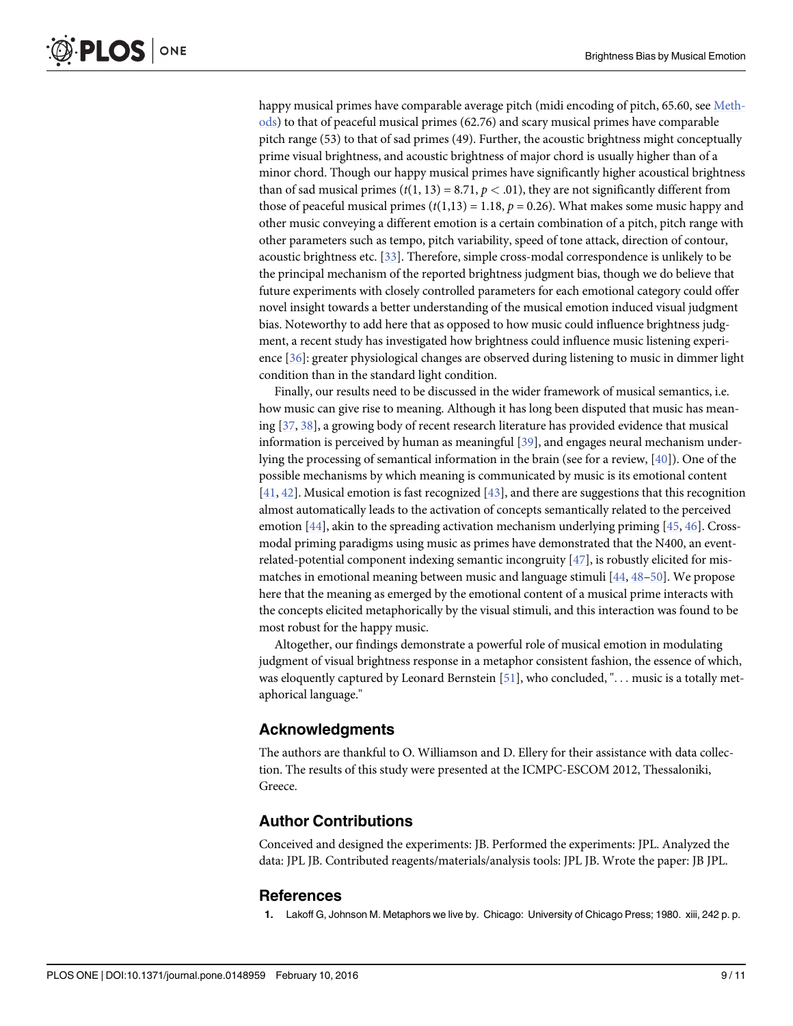<span id="page-8-0"></span>happy musical primes have comparable average pitch (midi encoding of pitch, 65.60, see [Meth](#page-1-0)[ods\)](#page-1-0) to that of peaceful musical primes (62.76) and scary musical primes have comparable pitch range (53) to that of sad primes (49). Further, the acoustic brightness might conceptually prime visual brightness, and acoustic brightness of major chord is usually higher than of a minor chord. Though our happy musical primes have significantly higher acoustical brightness than of sad musical primes ( $t(1, 13) = 8.71, p < .01$ ), they are not significantly different from those of peaceful musical primes  $(t(1,13) = 1.18, p = 0.26)$ . What makes some music happy and other music conveying a different emotion is a certain combination of a pitch, pitch range with other parameters such as tempo, pitch variability, speed of tone attack, direction of contour, acoustic brightness etc. [[33](#page-10-0)]. Therefore, simple cross-modal correspondence is unlikely to be the principal mechanism of the reported brightness judgment bias, though we do believe that future experiments with closely controlled parameters for each emotional category could offer novel insight towards a better understanding of the musical emotion induced visual judgment bias. Noteworthy to add here that as opposed to how music could influence brightness judgment, a recent study has investigated how brightness could influence music listening experience [[36](#page-10-0)]: greater physiological changes are observed during listening to music in dimmer light condition than in the standard light condition.

Finally, our results need to be discussed in the wider framework of musical semantics, i.e. how music can give rise to meaning. Although it has long been disputed that music has meaning [\[37,](#page-10-0) [38\]](#page-10-0), a growing body of recent research literature has provided evidence that musical information is perceived by human as meaningful [[39](#page-10-0)], and engages neural mechanism underlying the processing of semantical information in the brain (see for a review, [\[40\]](#page-10-0)). One of the possible mechanisms by which meaning is communicated by music is its emotional content  $[41, 42]$  $[41, 42]$  $[41, 42]$ . Musical emotion is fast recognized  $[43]$  $[43]$  $[43]$ , and there are suggestions that this recognition almost automatically leads to the activation of concepts semantically related to the perceived emotion [[44\]](#page-10-0), akin to the spreading activation mechanism underlying priming [[45,](#page-10-0) [46\]](#page-10-0). Crossmodal priming paradigms using music as primes have demonstrated that the N400, an eventrelated-potential component indexing semantic incongruity [[47](#page-10-0)], is robustly elicited for mismatches in emotional meaning between music and language stimuli  $[44, 48-50]$  $[44, 48-50]$  $[44, 48-50]$  $[44, 48-50]$  $[44, 48-50]$  $[44, 48-50]$ . We propose here that the meaning as emerged by the emotional content of a musical prime interacts with the concepts elicited metaphorically by the visual stimuli, and this interaction was found to be most robust for the happy music.

Altogether, our findings demonstrate a powerful role of musical emotion in modulating judgment of visual brightness response in a metaphor consistent fashion, the essence of which, was eloquently captured by Leonard Bernstein  $[51]$  $[51]$  $[51]$ , who concluded, "... music is a totally metaphorical language."

#### Acknowledgments

The authors are thankful to O. Williamson and D. Ellery for their assistance with data collection. The results of this study were presented at the ICMPC-ESCOM 2012, Thessaloniki, Greece.

## Author Contributions

Conceived and designed the experiments: JB. Performed the experiments: JPL. Analyzed the data: JPL JB. Contributed reagents/materials/analysis tools: JPL JB. Wrote the paper: JB JPL.

#### References

[1.](#page-0-0) Lakoff G, Johnson M. Metaphors we live by. Chicago: University of Chicago Press; 1980. xiii, 242 p. p.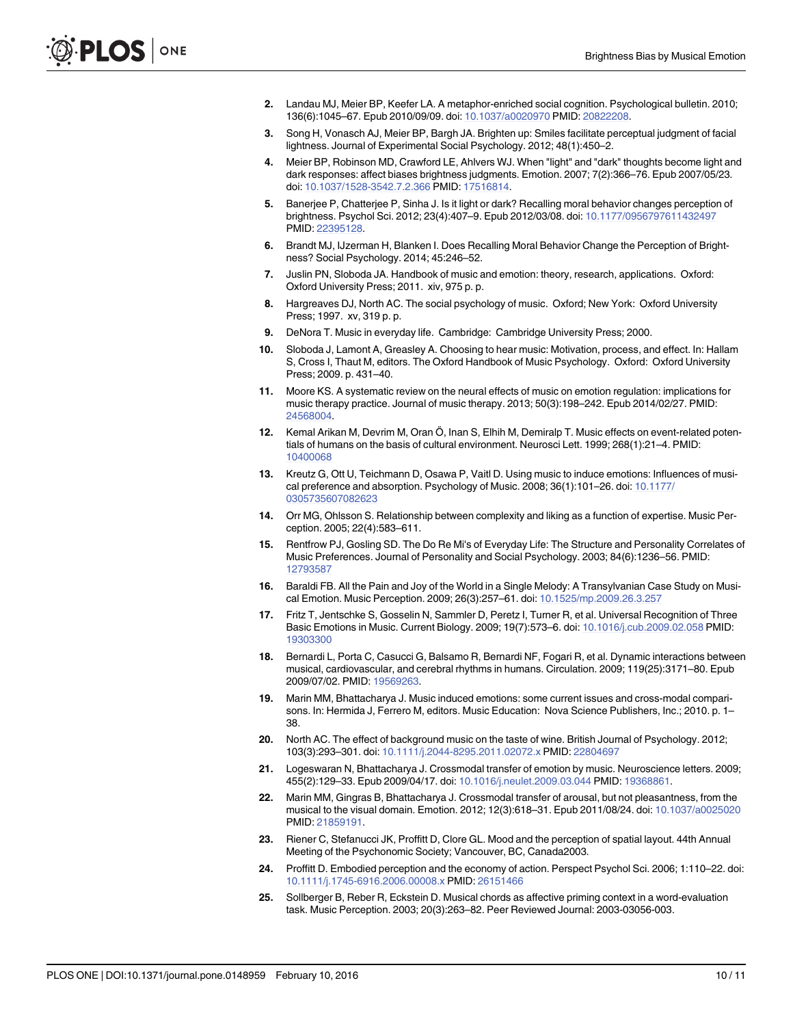- <span id="page-9-0"></span>[2.](#page-0-0) Landau MJ, Meier BP, Keefer LA. A metaphor-enriched social cognition. Psychological bulletin. 2010; 136(6):1045–67. Epub 2010/09/09. doi: [10.1037/a0020970](http://dx.doi.org/10.1037/a0020970) PMID: [20822208.](http://www.ncbi.nlm.nih.gov/pubmed/20822208)
- [3.](#page-0-0) Song H, Vonasch AJ, Meier BP, Bargh JA. Brighten up: Smiles facilitate perceptual judgment of facial lightness. Journal of Experimental Social Psychology. 2012; 48(1):450–2.
- [4.](#page-0-0) Meier BP, Robinson MD, Crawford LE, Ahlvers WJ. When "light" and "dark" thoughts become light and dark responses: affect biases brightness judgments. Emotion. 2007; 7(2):366–76. Epub 2007/05/23. doi: [10.1037/1528-3542.7.2.366](http://dx.doi.org/10.1037/1528-3542.7.2.366) PMID: [17516814](http://www.ncbi.nlm.nih.gov/pubmed/17516814).
- [5.](#page-0-0) Banerjee P, Chatterjee P, Sinha J. Is it light or dark? Recalling moral behavior changes perception of brightness. Psychol Sci. 2012; 23(4):407–9. Epub 2012/03/08. doi: [10.1177/0956797611432497](http://dx.doi.org/10.1177/0956797611432497) PMID: [22395128.](http://www.ncbi.nlm.nih.gov/pubmed/22395128)
- [6.](#page-0-0) Brandt MJ, IJzerman H, Blanken I. Does Recalling Moral Behavior Change the Perception of Brightness? Social Psychology. 2014; 45:246–52.
- [7.](#page-1-0) Juslin PN, Sloboda JA. Handbook of music and emotion: theory, research, applications. Oxford: Oxford University Press; 2011. xiv, 975 p. p.
- [8.](#page-1-0) Hargreaves DJ, North AC. The social psychology of music. Oxford; New York: Oxford University Press; 1997. xv, 319 p. p.
- [9.](#page-1-0) DeNora T. Music in everyday life. Cambridge: Cambridge University Press; 2000.
- [10.](#page-1-0) Sloboda J, Lamont A, Greasley A. Choosing to hear music: Motivation, process, and effect. In: Hallam S, Cross I, Thaut M, editors. The Oxford Handbook of Music Psychology. Oxford: Oxford University Press; 2009. p. 431–40.
- [11.](#page-1-0) Moore KS. A systematic review on the neural effects of music on emotion regulation: implications for music therapy practice. Journal of music therapy. 2013; 50(3):198–242. Epub 2014/02/27. PMID: [24568004](http://www.ncbi.nlm.nih.gov/pubmed/24568004).
- [12.](#page-1-0) Kemal Arikan M, Devrim M, Oran Ö, Inan S, Elhih M, Demiralp T. Music effects on event-related potentials of humans on the basis of cultural environment. Neurosci Lett. 1999; 268(1):21–4. PMID: [10400068](http://www.ncbi.nlm.nih.gov/pubmed/10400068)
- [13.](#page-1-0) Kreutz G, Ott U, Teichmann D, Osawa P, Vaitl D. Using music to induce emotions: Influences of musical preference and absorption. Psychology of Music. 2008; 36(1):101–26. doi: [10.1177/](http://dx.doi.org/10.1177/0305735607082623) [0305735607082623](http://dx.doi.org/10.1177/0305735607082623)
- [14.](#page-1-0) Orr MG, Ohlsson S. Relationship between complexity and liking as a function of expertise. Music Perception. 2005; 22(4):583–611.
- [15.](#page-1-0) Rentfrow PJ, Gosling SD. The Do Re Mi's of Everyday Life: The Structure and Personality Correlates of Music Preferences. Journal of Personality and Social Psychology. 2003; 84(6):1236–56. PMID: [12793587](http://www.ncbi.nlm.nih.gov/pubmed/12793587)
- [16.](#page-1-0) Baraldi FB. All the Pain and Joy of the World in a Single Melody: A Transylvanian Case Study on Musical Emotion. Music Perception. 2009; 26(3):257–61. doi: [10.1525/mp.2009.26.3.257](http://dx.doi.org/10.1525/mp.2009.26.3.257)
- [17.](#page-1-0) Fritz T, Jentschke S, Gosselin N, Sammler D, Peretz I, Turner R, et al. Universal Recognition of Three Basic Emotions in Music. Current Biology. 2009; 19(7):573–6. doi: [10.1016/j.cub.2009.02.058](http://dx.doi.org/10.1016/j.cub.2009.02.058) PMID: [19303300](http://www.ncbi.nlm.nih.gov/pubmed/19303300)
- [18.](#page-1-0) Bernardi L, Porta C, Casucci G, Balsamo R, Bernardi NF, Fogari R, et al. Dynamic interactions between musical, cardiovascular, and cerebral rhythms in humans. Circulation. 2009; 119(25):3171–80. Epub 2009/07/02. PMID: [19569263](http://www.ncbi.nlm.nih.gov/pubmed/19569263).
- [19.](#page-1-0) Marin MM, Bhattacharya J. Music induced emotions: some current issues and cross-modal comparisons. In: Hermida J, Ferrero M, editors. Music Education: Nova Science Publishers, Inc.; 2010. p. 1– 38.
- [20.](#page-1-0) North AC. The effect of background music on the taste of wine. British Journal of Psychology. 2012; 103(3):293–301. doi: [10.1111/j.2044-8295.2011.02072.x](http://dx.doi.org/10.1111/j.2044-8295.2011.02072.x) PMID: [22804697](http://www.ncbi.nlm.nih.gov/pubmed/22804697)
- [21.](#page-1-0) Logeswaran N, Bhattacharya J. Crossmodal transfer of emotion by music. Neuroscience letters. 2009; 455(2):129–33. Epub 2009/04/17. doi: [10.1016/j.neulet.2009.03.044](http://dx.doi.org/10.1016/j.neulet.2009.03.044) PMID: [19368861](http://www.ncbi.nlm.nih.gov/pubmed/19368861).
- [22.](#page-1-0) Marin MM, Gingras B, Bhattacharya J. Crossmodal transfer of arousal, but not pleasantness, from the musical to the visual domain. Emotion. 2012; 12(3):618–31. Epub 2011/08/24. doi: [10.1037/a0025020](http://dx.doi.org/10.1037/a0025020) PMID: [21859191.](http://www.ncbi.nlm.nih.gov/pubmed/21859191)
- [23.](#page-1-0) Riener C, Stefanucci JK, Proffitt D, Clore GL. Mood and the perception of spatial layout. 44th Annual Meeting of the Psychonomic Society; Vancouver, BC, Canada2003.
- [24.](#page-1-0) Proffitt D. Embodied perception and the economy of action. Perspect Psychol Sci. 2006; 1:110–22. doi: [10.1111/j.1745-6916.2006.00008.x](http://dx.doi.org/10.1111/j.1745-6916.2006.00008.x) PMID: [26151466](http://www.ncbi.nlm.nih.gov/pubmed/26151466)
- [25.](#page-1-0) Sollberger B, Reber R, Eckstein D. Musical chords as affective priming context in a word-evaluation task. Music Perception. 2003; 20(3):263–82. Peer Reviewed Journal: 2003-03056-003.